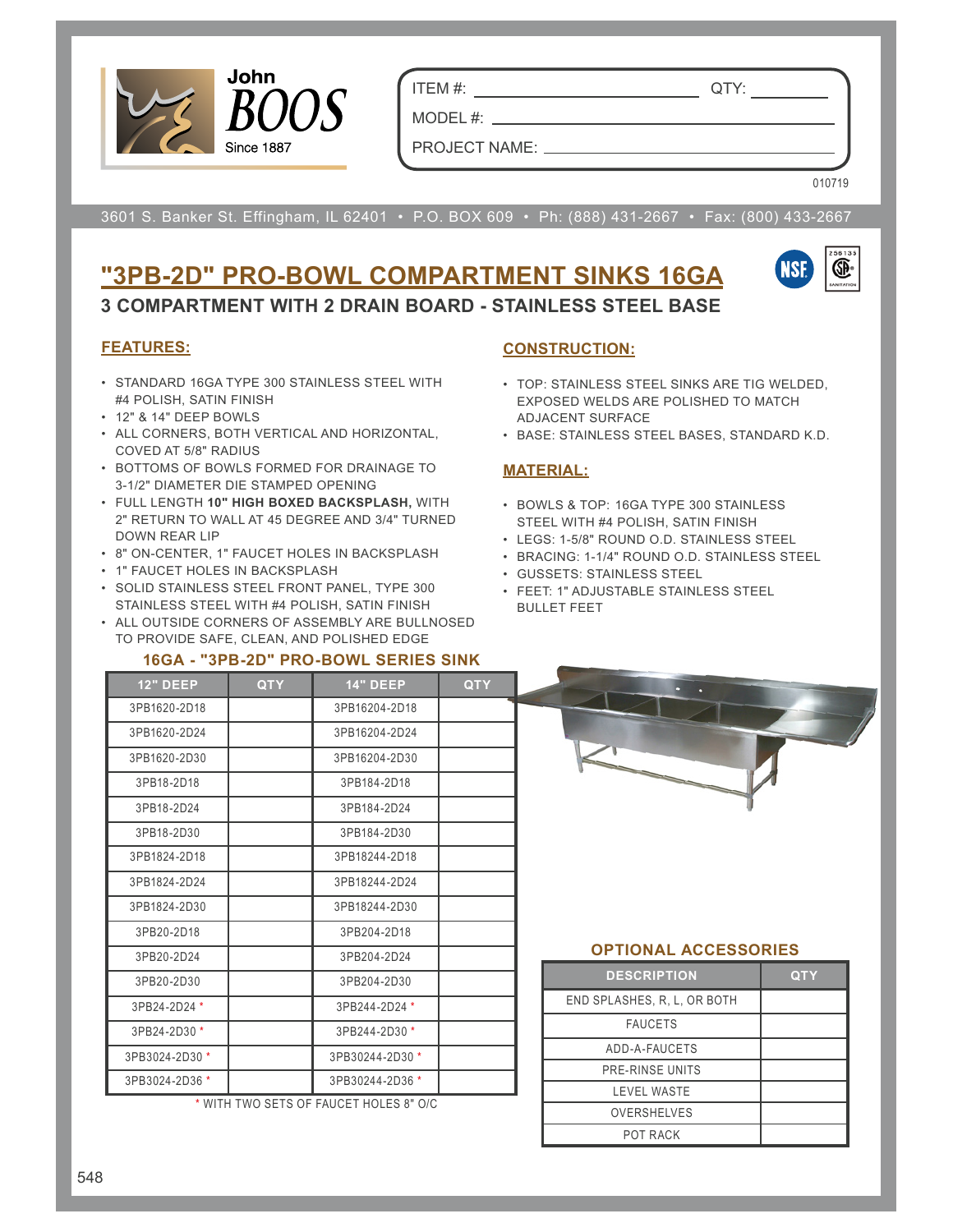

ITEM #: QTY:

PROJECT NAME:

MODEL #:

010719

3601 S. Banker St. Effingham, IL 62401 • P.O. BOX 609 • Ph: (888) 431-2667 • Fax: (800) 433-2667

# **"3PB-2D" PRO-BOWL COMPARTMENT SINKS 16GA**



**3 COMPARTMENT WITH 2 DRAIN BOARD - STAINLESS STEEL BASE**

#### **FEATURES:**

- STANDARD 16GA TYPE 300 STAINLESS STEEL WITH #4 POLISH, SATIN FINISH
- 12" & 14" DEEP BOWLS
- ALL CORNERS, BOTH VERTICAL AND HORIZONTAL, COVED AT 5/8" RADIUS
- BOTTOMS OF BOWLS FORMED FOR DRAINAGE TO 3-1/2" DIAMETER DIE STAMPED OPENING
- FULL LENGTH **10" HIGH BOXED BACKSPLASH,** WITH 2" RETURN TO WALL AT 45 DEGREE AND 3/4" TURNED DOWN REAR LIP
- 8" ON-CENTER, 1" FAUCET HOLES IN BACKSPLASH
- 1" FAUCET HOLES IN BACKSPLASH
- SOLID STAINLESS STEEL FRONT PANEL, TYPE 300 STAINLESS STEEL WITH #4 POLISH, SATIN FINISH
- ALL OUTSIDE CORNERS OF ASSEMBLY ARE BULLNOSED TO PROVIDE SAFE, CLEAN, AND POLISHED EDGE

#### **16GA - "3PB-2D" PRO-BOWL SERIES SINK**

#### **CONSTRUCTION:**

- TOP: STAINLESS STEEL SINKS ARE TIG WELDED, EXPOSED WELDS ARE POLISHED TO MATCH ADJACENT SURFACE
- BASE: STAINLESS STEEL BASES, STANDARD K.D.

## **MATERIAL:**

- BOWLS & TOP: 16GA TYPE 300 STAINLESS STEEL WITH #4 POLISH, SATIN FINISH
- LEGS: 1-5/8" ROUND O.D. STAINLESS STEEL
- BRACING: 1-1/4" ROUND O.D. STAINLESS STEEL
- GUSSETS: STAINLESS STEEL
- FEET: 1" ADJUSTABLE STAINLESS STEEL BULLET FEET

| <b>12" DEEP</b> | <b>QTY</b> | <b>14" DEEP</b>                        | <b>QTY</b> |
|-----------------|------------|----------------------------------------|------------|
| 3PB1620-2D18    |            | 3PB16204-2D18                          |            |
| 3PB1620-2D24    |            | 3PB16204-2D24                          |            |
| 3PB1620-2D30    |            | 3PB16204-2D30                          |            |
| 3PB18-2D18      |            | 3PB184-2D18                            |            |
| 3PB18-2D24      |            | 3PB184-2D24                            |            |
| 3PB18-2D30      |            | 3PB184-2D30                            |            |
| 3PB1824-2D18    |            | 3PB18244-2D18                          |            |
| 3PB1824-2D24    |            | 3PB18244-2D24                          |            |
| 3PB1824-2D30    |            | 3PB18244-2D30                          |            |
| 3PB20-2D18      |            | 3PB204-2D18                            |            |
| 3PB20-2D24      |            | 3PB204-2D24                            |            |
| 3PB20-2D30      |            | 3PB204-2D30                            |            |
| 3PB24-2D24 *    |            | 3PB244-2D24 *                          |            |
| 3PB24-2D30 *    |            | 3PB244-2D30 *                          |            |
| 3PB3024-2D30 *  |            | 3PB30244-2D30 *                        |            |
| 3PB3024-2D36 *  |            | 3PB30244-2D36 *                        |            |
|                 |            | * WITH TWO CETS OF FAHOET HOLES OF OIS |            |

WITH TWO SETS OF FAUCET HOLES 8" O/C



## **OPTIONAL ACCESSORIES**

| <b>DESCRIPTION</b>          | QTY |
|-----------------------------|-----|
| END SPLASHES, R. L. OR BOTH |     |
| <b>FAUCETS</b>              |     |
| ADD-A-FAUCETS               |     |
| PRE-RINSE UNITS             |     |
| <b>LEVEL WASTE</b>          |     |
| <b>OVERSHELVES</b>          |     |
| <b>POT RACK</b>             |     |